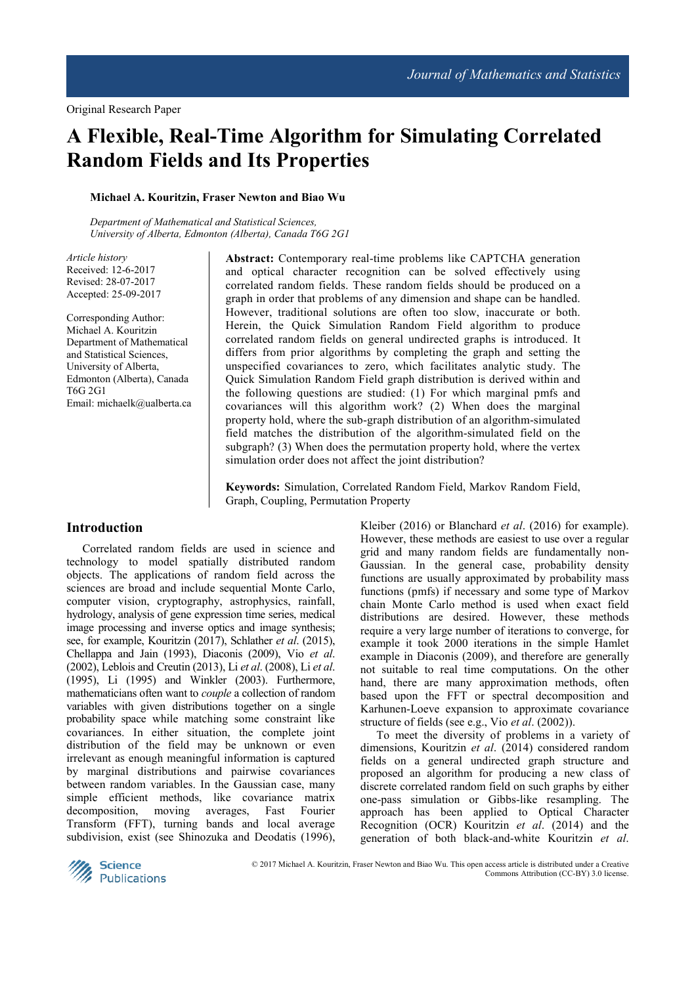# **A Flexible, Real-Time Algorithm for Simulating Correlated Random Fields and Its Properties**

# **Michael A. Kouritzin, Fraser Newton and Biao Wu**

*Department of Mathematical and Statistical Sciences, University of Alberta, Edmonton (Alberta), Canada T6G 2G1* 

*Article history*  Received: 12-6-2017 Revised: 28-07-2017 Accepted: 25-09-2017

Corresponding Author: Michael A. Kouritzin Department of Mathematical and Statistical Sciences, University of Alberta, Edmonton (Alberta), Canada T6G 2G1 Email: michaelk@ualberta.ca **Abstract:** Contemporary real-time problems like CAPTCHA generation and optical character recognition can be solved effectively using correlated random fields. These random fields should be produced on a graph in order that problems of any dimension and shape can be handled. However, traditional solutions are often too slow, inaccurate or both. Herein, the Quick Simulation Random Field algorithm to produce correlated random fields on general undirected graphs is introduced. It differs from prior algorithms by completing the graph and setting the unspecified covariances to zero, which facilitates analytic study. The Quick Simulation Random Field graph distribution is derived within and the following questions are studied: (1) For which marginal pmfs and covariances will this algorithm work? (2) When does the marginal property hold, where the sub-graph distribution of an algorithm-simulated field matches the distribution of the algorithm-simulated field on the subgraph? (3) When does the permutation property hold, where the vertex simulation order does not affect the joint distribution?

**Keywords:** Simulation, Correlated Random Field, Markov Random Field, Graph, Coupling, Permutation Property

# **Introduction**

Correlated random fields are used in science and technology to model spatially distributed random objects. The applications of random field across the sciences are broad and include sequential Monte Carlo, computer vision, cryptography, astrophysics, rainfall, hydrology, analysis of gene expression time series, medical image processing and inverse optics and image synthesis; see, for example, Kouritzin (2017), Schlather *et al*. (2015), Chellappa and Jain (1993), Diaconis (2009), Vio *et al*. (2002), Leblois and Creutin (2013), Li *et al*. (2008), Li *et al*. (1995), Li (1995) and Winkler (2003). Furthermore, mathematicians often want to *couple* a collection of random variables with given distributions together on a single probability space while matching some constraint like covariances. In either situation, the complete joint distribution of the field may be unknown or even irrelevant as enough meaningful information is captured by marginal distributions and pairwise covariances between random variables. In the Gaussian case, many simple efficient methods, like covariance matrix decomposition, moving averages, Fast Fourier Transform (FFT), turning bands and local average subdivision, exist (see Shinozuka and Deodatis (1996),

Kleiber (2016) or Blanchard *et al*. (2016) for example). However, these methods are easiest to use over a regular grid and many random fields are fundamentally non-Gaussian. In the general case, probability density functions are usually approximated by probability mass functions (pmfs) if necessary and some type of Markov chain Monte Carlo method is used when exact field distributions are desired. However, these methods require a very large number of iterations to converge, for example it took 2000 iterations in the simple Hamlet example in Diaconis (2009), and therefore are generally not suitable to real time computations. On the other hand, there are many approximation methods, often based upon the FFT or spectral decomposition and Karhunen-Loeve expansion to approximate covariance structure of fields (see e.g., Vio *et al*. (2002)).

To meet the diversity of problems in a variety of dimensions, Kouritzin *et al*. (2014) considered random fields on a general undirected graph structure and proposed an algorithm for producing a new class of discrete correlated random field on such graphs by either one-pass simulation or Gibbs-like resampling. The approach has been applied to Optical Character Recognition (OCR) Kouritzin *et al*. (2014) and the generation of both black-and-white Kouritzin *et al*.



 © 2017 Michael A. Kouritzin, Fraser Newton and Biao Wu. This open access article is distributed under a Creative Commons Attribution (CC-BY) 3.0 license.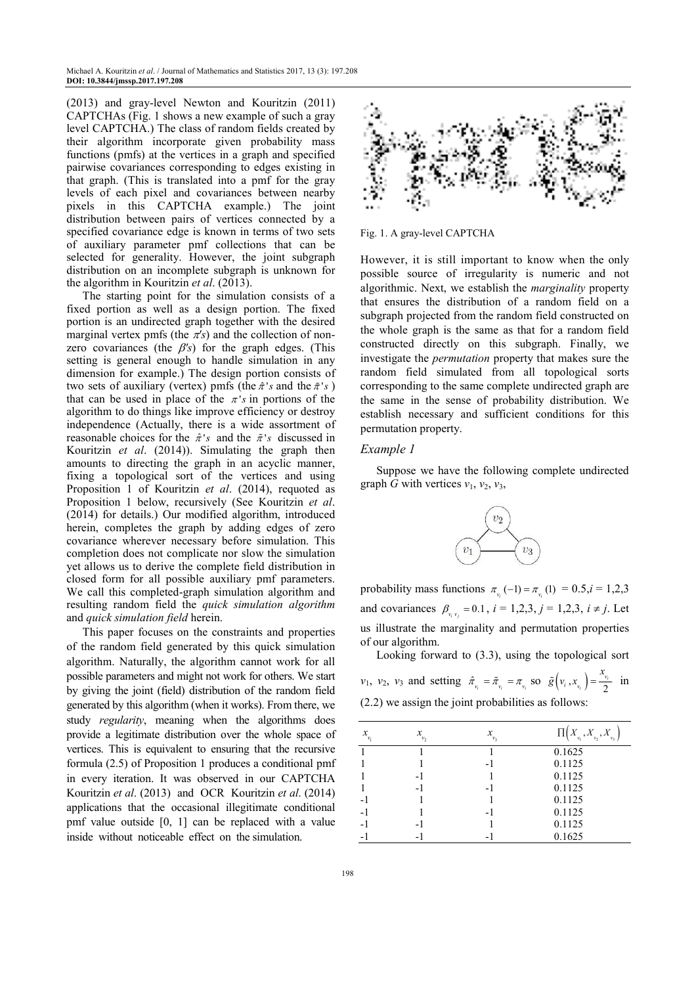(2013) and gray-level Newton and Kouritzin (2011) CAPTCHAs (Fig. 1 shows a new example of such a gray level CAPTCHA.) The class of random fields created by their algorithm incorporate given probability mass functions (pmfs) at the vertices in a graph and specified pairwise covariances corresponding to edges existing in that graph. (This is translated into a pmf for the gray levels of each pixel and covariances between nearby pixels in this CAPTCHA example.) The joint distribution between pairs of vertices connected by a specified covariance edge is known in terms of two sets of auxiliary parameter pmf collections that can be selected for generality. However, the joint subgraph distribution on an incomplete subgraph is unknown for the algorithm in Kouritzin *et al*. (2013).

The starting point for the simulation consists of a fixed portion as well as a design portion. The fixed portion is an undirected graph together with the desired marginal vertex pmfs (the  $\pi$ 's) and the collection of nonzero covariances (the β*'s*) for the graph edges. (This setting is general enough to handle simulation in any dimension for example.) The design portion consists of two sets of auxiliary (vertex) pmfs (the  $\hat{\pi}$ 's and the  $\tilde{\pi}$ 's) that can be used in place of the  $\pi$ 's in portions of the algorithm to do things like improve efficiency or destroy independence (Actually, there is a wide assortment of reasonable choices for the  $\hat{\pi}$ 's and the  $\tilde{\pi}$ 's discussed in Kouritzin *et al*. (2014)). Simulating the graph then amounts to directing the graph in an acyclic manner, fixing a topological sort of the vertices and using Proposition 1 of Kouritzin *et al*. (2014), requoted as Proposition 1 below, recursively (See Kouritzin *et al*. (2014) for details.) Our modified algorithm, introduced herein, completes the graph by adding edges of zero covariance wherever necessary before simulation. This completion does not complicate nor slow the simulation yet allows us to derive the complete field distribution in closed form for all possible auxiliary pmf parameters. We call this completed-graph simulation algorithm and resulting random field the *quick simulation algorithm* and *quick simulation field* herein.

This paper focuses on the constraints and properties of the random field generated by this quick simulation algorithm. Naturally, the algorithm cannot work for all possible parameters and might not work for others. We start by giving the joint (field) distribution of the random field generated by this algorithm (when it works). From there, we study *regularity*, meaning when the algorithms does provide a legitimate distribution over the whole space of vertices. This is equivalent to ensuring that the recursive formula (2.5) of Proposition 1 produces a conditional pmf in every iteration. It was observed in our CAPTCHA Kouritzin *et al*. (2013) and OCR Kouritzin *et al*. (2014) applications that the occasional illegitimate conditional pmf value outside [0, 1] can be replaced with a value inside without noticeable effect on the simulation.



Fig. 1. A gray-level CAPTCHA

However, it is still important to know when the only possible source of irregularity is numeric and not algorithmic. Next, we establish the *marginality* property that ensures the distribution of a random field on a subgraph projected from the random field constructed on the whole graph is the same as that for a random field constructed directly on this subgraph. Finally, we investigate the *permutation* property that makes sure the random field simulated from all topological sorts corresponding to the same complete undirected graph are the same in the sense of probability distribution. We establish necessary and sufficient conditions for this permutation property.

#### *Example 1*

Suppose we have the following complete undirected graph *G* with vertices  $v_1$ ,  $v_2$ ,  $v_3$ ,



probability mass functions  $\pi_{v_i}(-1) = \pi_{v_i}(1) = 0.5, i = 1,2,3$ and covariances  $\beta_{v_i v_j} = 0.1$ ,  $i = 1,2,3$ ,  $j = 1,2,3$ ,  $i \neq j$ . Let us illustrate the marginality and permutation properties of our algorithm.

Looking forward to (3.3), using the topological sort *v*<sub>1</sub>, *v*<sub>2</sub>, *v*<sub>3</sub> and setting  $\hat{\pi}_{v_i} = \tilde{\pi}_{v_i} = \pi_{v_i}$  so  $\tilde{g}(v_i, x_{v_i}) = \frac{x_{v_i}}{2}$ *i*  $\left(x_{\nu_i}\right) = \frac{v_{\nu_i}}{2}$  $\tilde{g}(v_i, x_n) = \frac{x_{v_i}}{2}$  in (2.2) we assign the joint probabilities as follows:

| $x_{v_1}$ | х<br>v <sub>2</sub>      | x<br>v <sub>3</sub> | $_{\tiny \mbox{v}_{\rm l}}$ , $X$<br>$_{\nu_2}$ , $X$ |
|-----------|--------------------------|---------------------|-------------------------------------------------------|
|           |                          |                     | 0.1625                                                |
|           |                          | - 1                 | 0.1125                                                |
|           | $\overline{\phantom{0}}$ |                     | 0.1125                                                |
|           |                          | - 1                 | 0.1125                                                |
|           |                          |                     | 0.1125                                                |
| -1        |                          | - 1                 | 0.1125                                                |
|           |                          |                     | 0.1125                                                |
|           |                          |                     | 0.1625                                                |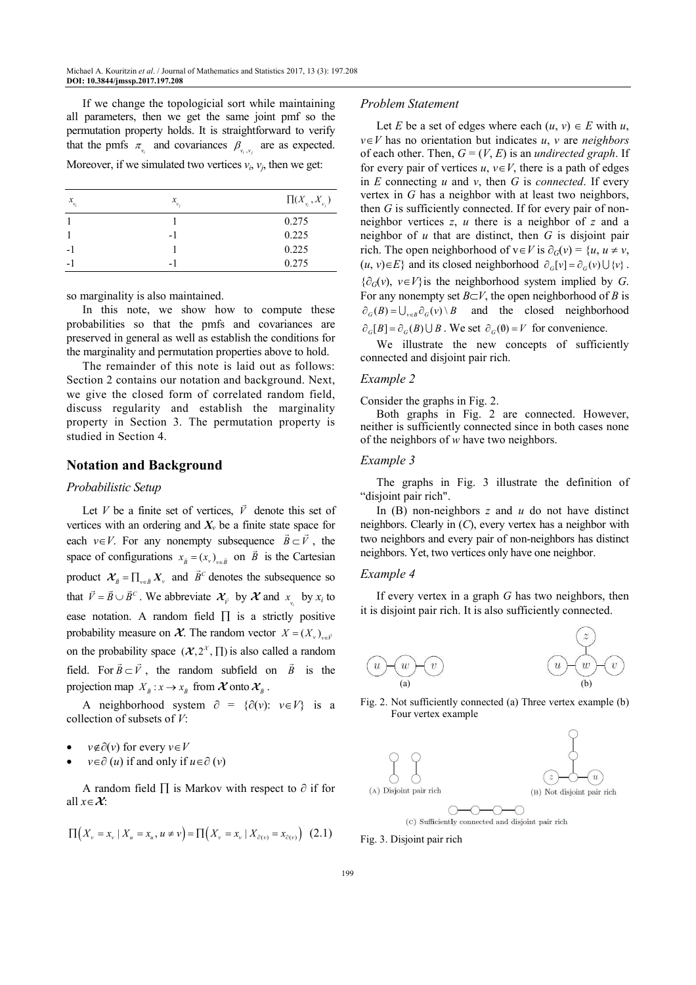If we change the topologicial sort while maintaining all parameters, then we get the same joint pmf so the permutation property holds. It is straightforward to verify that the pmfs  $\pi_{v_i}$  and covariances  $\beta_{v_i, v_j}$  are as expected. Moreover, if we simulated two vertices  $v_i$ ,  $v_j$ , then we get:

| $x_{v_i}$ | $x_{v_i}$ | $\Pi(X_{\nu_i}, X_{\nu_j})$ |
|-----------|-----------|-----------------------------|
|           |           | 0.275                       |
|           | - 1       | 0.225                       |
|           |           | 0.225                       |
|           | -         | 0.275                       |

so marginality is also maintained.

In this note, we show how to compute these probabilities so that the pmfs and covariances are preserved in general as well as establish the conditions for the marginality and permutation properties above to hold.

The remainder of this note is laid out as follows: Section 2 contains our notation and background. Next, we give the closed form of correlated random field, discuss regularity and establish the marginality property in Section 3. The permutation property is studied in Section 4.

# **Notation and Background**

#### *Probabilistic Setup*

Let *V* be a finite set of vertices,  $\vec{V}$  denote this set of vertices with an ordering and  $X_v$  be a finite state space for each *v*∈*V*. For any nonempty subsequence  $\vec{B} \subset \vec{V}$ , the space of configurations  $x_{\overline{B}} = (x_v)_{v \in \overline{B}}$  on  $\overline{B}$  is the Cartesian product  $\mathcal{X}_{\bar{B}} = \prod_{v \in \bar{B}} X_v$  and  $\bar{B}^c$  denotes the subsequence so that  $\vec{V} = \vec{B} \cup \vec{B}^c$ . We abbreviate  $\mathcal{X}_{\vec{V}}$  by  $\mathcal{X}$  and  $x_{v_i}$  by  $x_i$  to *i* ease notation. A random field  $\Pi$  is a strictly positive probability measure on  $\mathcal{X}$ . The random vector  $X = (X_v)_{v \in \vec{V}}$ on the probability space  $({\cal X}, 2^{\chi}, \Pi)$  is also called a random field. For  $\vec{B} \subset \vec{V}$ , the random subfield on  $\vec{B}$  is the projection map  $X_{\bar{B}} : x \to x_{\bar{B}}$  from  $\mathcal X$  onto  $\mathcal X_{\bar{B}}$ .

A neighborhood system  $\partial = {\partial(v): v \in V}$  is a collection of subsets of *V*:

- *v*∉∂(*v*) for every *v*∈*V*
- *v*∈∂ (*u*) if and only if *u*∈∂ (*v*)

A random field ∏ is Markov with respect to ∂ if for all *x*∈**X**:

$$
\Pi(X_v = x_v \mid X_u = x_u, u \neq v) = \Pi(X_v = x_v \mid X_{\partial(v)} = x_{\partial(v)}) \tag{2.1}
$$

#### *Problem Statement*

Let *E* be a set of edges where each  $(u, v) \in E$  with *u*, *v*∈*V* has no orientation but indicates *u*, *v* are *neighbors* of each other. Then,  $G = (V, E)$  is an *undirected graph*. If for every pair of vertices  $u, v \in V$ , there is a path of edges in *E* connecting *u* and *v*, then *G* is *connected*. If every vertex in *G* has a neighbor with at least two neighbors, then *G* is sufficiently connected. If for every pair of nonneighbor vertices *z*, *u* there is a neighbor of *z* and a neighbor of *u* that are distinct, then *G* is disjoint pair rich. The open neighborhood of  $v \in V$  is  $\partial_G(v) = \{u, u \neq v, v\}$  $(u, v) \in E$  and its closed neighborhood  $\partial_c[v] = \partial_c(v) \cup \{v\}$ . {∂*G*(*v*), *v*∈*V*}is the neighborhood system implied by *G*. For any nonempty set *B*⊂*V*, the open neighborhood of *B* is  $\partial_G(B) = \bigcup_{v \in B} \partial_G(v) \setminus B$  and the closed neighborhood  $\partial_G[B] = \partial_G(B) \cup B$ . We set  $\partial_G(\emptyset) = V$  for convenience.

We illustrate the new concepts of sufficiently connected and disjoint pair rich.

#### *Example 2*

Consider the graphs in Fig. 2.

Both graphs in Fig. 2 are connected. However, neither is sufficiently connected since in both cases none of the neighbors of *w* have two neighbors.

#### *Example 3*

The graphs in Fig. 3 illustrate the definition of "disjoint pair rich".

In (B) non-neighbors *z* and *u* do not have distinct neighbors. Clearly in (*C*), every vertex has a neighbor with two neighbors and every pair of non-neighbors has distinct neighbors. Yet, two vertices only have one neighbor.

#### *Example 4*

If every vertex in a graph *G* has two neighbors, then it is disjoint pair rich. It is also sufficiently connected.



Fig. 2. Not sufficiently connected (a) Three vertex example (b) Four vertex example



Fig. 3. Disjoint pair rich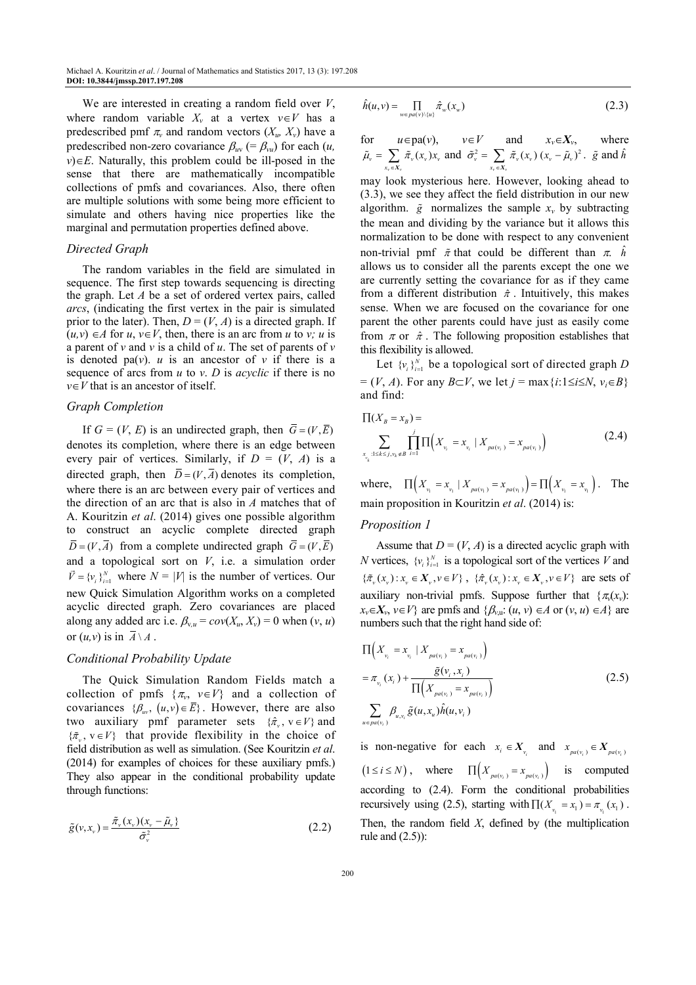We are interested in creating a random field over *V*, where random variable  $X_v$  at a vertex  $v \in V$  has a predescribed pmf  $\pi$ <sup>*v*</sup> and random vectors  $(X_u, X_v)$  have a predescribed non-zero covariance  $\beta_{uv}$  (=  $\beta_{vu}$ ) for each (*u*,  $v \in E$ . Naturally, this problem could be ill-posed in the sense that there are mathematically incompatible collections of pmfs and covariances. Also, there often are multiple solutions with some being more efficient to simulate and others having nice properties like the marginal and permutation properties defined above.

# *Directed Graph*

The random variables in the field are simulated in sequence. The first step towards sequencing is directing the graph. Let *A* be a set of ordered vertex pairs, called *arcs*, (indicating the first vertex in the pair is simulated prior to the later). Then,  $D = (V, A)$  is a directed graph. If  $(u, v) \in A$  for  $u, v \in V$ , then, there is an arc from *u* to *v*; *u* is a parent of *v* and *v* is a child of *u*. The set of parents of *v* is denoted pa( $v$ ). *u* is an ancestor of  $v$  if there is a sequence of arcs from *u* to *v*. *D* is *acyclic* if there is no *v*∈*V* that is an ancestor of itself.

#### *Graph Completion*

If  $G = (V, E)$  is an undirected graph, then  $\overline{G} = (V, \overline{E})$ denotes its completion, where there is an edge between every pair of vertices. Similarly, if  $D = (V, A)$  is a directed graph, then  $\overline{D} = (V, \overline{A})$  denotes its completion, where there is an arc between every pair of vertices and the direction of an arc that is also in *A* matches that of A. Kouritzin *et al*. (2014) gives one possible algorithm to construct an acyclic complete directed graph  $\overline{D} = (V, \overline{A})$  from a complete undirected graph  $\overline{G} = (V, \overline{E})$ and a topological sort on  $V$ , i.e. a simulation order  $\vec{V} = \{v_i\}_{i=1}^N$  where  $N = |V|$  is the number of vertices. Our new Quick Simulation Algorithm works on a completed acyclic directed graph. Zero covariances are placed along any added arc i.e.  $\beta_{v,u} = cov(X_u, X_v) = 0$  when  $(v, u)$ or  $(u, v)$  is in  $\overline{A} \setminus A$ .

## *Conditional Probability Update*

The Quick Simulation Random Fields match a collection of pmfs  $\{\pi_v, v \in V\}$  and a collection of covariances  $\{\beta_{uv}, (u, v) \in \overline{E}\}\)$ . However, there are also two auxiliary pmf parameter sets  $\{\hat{\pi}_v, v \in V\}$  and  $\{\tilde{\pi}_v, v \in V\}$  that provide flexibility in the choice of field distribution as well as simulation. (See Kouritzin *et al*. (2014) for examples of choices for these auxiliary pmfs.) They also appear in the conditional probability update through functions:

$$
\tilde{g}(v, x_v) = \frac{\tilde{\pi}_v(x_v)(x_v - \tilde{\mu}_v)}{\tilde{\sigma}_v^2}
$$
\n(2.2)

$$
\hat{h}(u,v) = \prod_{w \in pa(v) \setminus \{u\}} \hat{\pi}_w(x_w)
$$
\n(2.3)

for  $u \in pa(v)$ ,  $v \in V$  and  $x_v \in X_v$  $x_v \in X_v$ , where  $\tilde{\mu}_{\scriptscriptstyle \rm v} = \sum_{{\scriptscriptstyle x_{\scriptscriptstyle \rm v}} \in X_{\scriptscriptstyle \rm v}} \tilde{\pi}_{\scriptscriptstyle \rm v}({\scriptstyle x_{\scriptscriptstyle \rm v}}) {\scriptstyle x_{\scriptscriptstyle \rm v}}$  $\sum_{x_v} \tilde{\pi}_v(x_v) x_v$  and  $\tilde{\sigma}_v^2 = \sum_{x_v \in X_v} \tilde{\pi}_v(x_v) (x_v - \tilde{\mu}_v)^2$  $\sum_{x}$   $\tilde{\pi}_{\nu}(x_{\nu})$   $(x_{\nu} - \tilde{\mu}_{\nu})^2$ .  $\tilde{g}$  and  $\hat{h}$ 

may look mysterious here. However, looking ahead to (3.3), we see they affect the field distribution in our new algorithm.  $\tilde{g}$  normalizes the sample  $x<sub>v</sub>$  by subtracting the mean and dividing by the variance but it allows this normalization to be done with respect to any convenient non-trivial pmf  $\tilde{\pi}$  that could be different than  $\pi$ .  $\hat{h}$ allows us to consider all the parents except the one we are currently setting the covariance for as if they came from a different distribution  $\hat{\pi}$ . Intuitively, this makes sense. When we are focused on the covariance for one parent the other parents could have just as easily come from  $\pi$  or  $\hat{\pi}$ . The following proposition establishes that this flexibility is allowed.

Let  $\{v_i\}_{i=1}^N$  be a topological sort of directed graph *D* = (*V*, *A*). For any *B*⊂*V*, we let *j* = max{*i*:1≤*i*≤*N*, *vi*∈*B*} and find:

$$
\Pi(X_B = x_B) = \sum_{\substack{x_{v_i}:1 \le k \le j, v_k \notin B}} \prod_{i=1}^j \Pi(X_{v_i} = x_{v_i} \mid X_{pa(v_i)} = x_{pa(v_i)})
$$
\n(2.4)

where,  $\prod (X_{v_1} = x_{v_1} | X_{pa(v_1)} = x_{pa(v_1)} ) = \prod (X_{v_1} = x_{v_1}).$  The main proposition in Kouritzin *et al*. (2014) is:

#### *Proposition 1*

Assume that  $D = (V, A)$  is a directed acyclic graph with *N* vertices,  $\{v_i\}_{i=1}^N$  is a topological sort of the vertices *V* and  $\{\tilde\pi_v(x_v): x_v\in X_v, v\in V\}\;,\;\;\{\hat\pi_v(x_v): x_v\in X_v, v\in V\}\;\text{ are sets of }$ auxiliary non-trivial pmfs. Suppose further that  $\{\pi_v(x_v):$  $x_v \in X_v$ ,  $v \in V$ } are pmfs and { $\beta_{v,u}: (u, v) \in A$  or  $(v, u) \in A$ } are numbers such that the right hand side of:

$$
\Pi\Big(X_{v_i} = x_{v_i} \mid X_{pa(v_i)} = x_{pa(v_i)}\Big) \n= \pi_{v_i}(x_i) + \frac{\tilde{g}(v_i, x_i)}{\Pi\Big(X_{pa(v_i)} = x_{pa(v_i)}\Big)} \n\sum_{u \in pa(v_i)} \beta_{u, v_i} \tilde{g}(u, x_u) \hat{h}(u, v_i)
$$
\n(2.5)

is non-negative for each  $x_i \in X_{v_i}$  and  $x_{pa(v_i)} \in X_{pa(v_i)}$  $(1 \le i \le N)$ , where  $\prod (X_{pa(v_i)} = x_{pa(v_i)})$  is computed according to (2.4). Form the conditional probabilities recursively using (2.5), starting with  $\prod (X_{v_1} = x_1) = \pi_{v_1}(x_1)$ . Then, the random field *X*, defined by (the multiplication rule and (2.5)):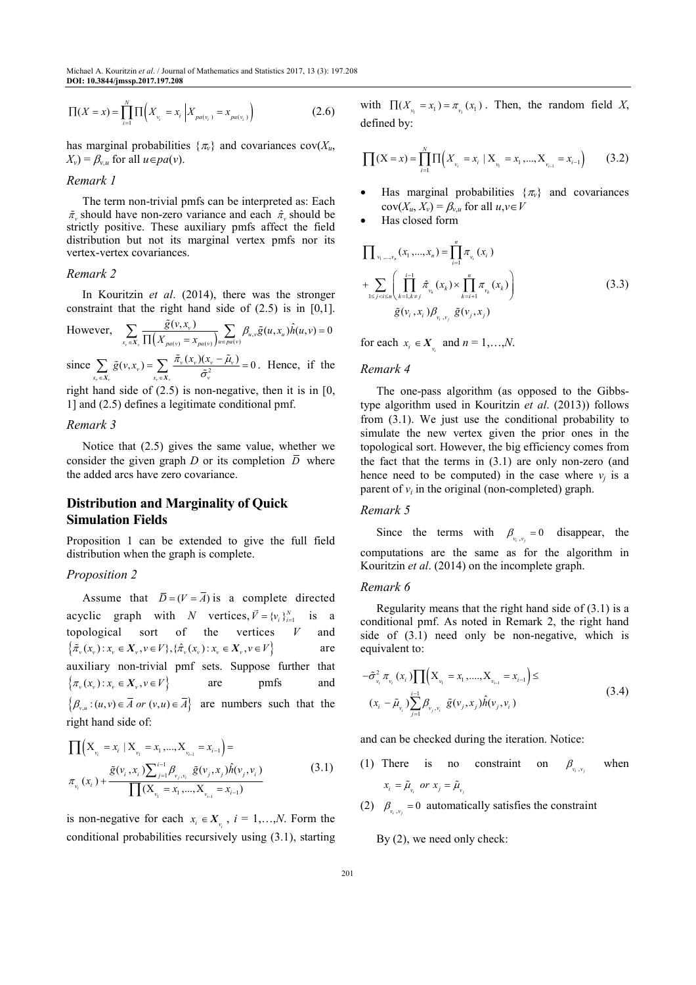Michael A. Kouritzin *et al*. / Journal of Mathematics and Statistics 2017, 13 (3): 197.208 **DOI: 10.3844/jmssp.2017.197.208** 

$$
\Pi(X = x) = \prod_{i=1}^{N} \Pi\left(X_{v_i} = x_i \middle| X_{pa(v_i)} = x_{pa(v_i)}\right)
$$
\n(2.6)

has marginal probabilities  $\{\pi_v\}$  and covariances cov( $X_u$ ,  $X_v$ ) =  $\beta_{v,u}$  for all  $u \in pa(v)$ .

## *Remark 1*

The term non-trivial pmfs can be interpreted as: Each  $\tilde{\pi}_v$  should have non-zero variance and each  $\hat{\pi}_v$  should be strictly positive. These auxiliary pmfs affect the field distribution but not its marginal vertex pmfs nor its vertex-vertex covariances.

# *Remark 2*

In Kouritzin *et al*. (2014), there was the stronger constraint that the right hand side of  $(2.5)$  is in  $[0,1]$ .

However, 
$$
\sum_{x_v \in X_v} \frac{\tilde{g}(v, x_v)}{\prod (X_{pa(v)} = x_{pa(v)})} \sum_{u \in pa(v)} \beta_{u,v} \tilde{g}(u, x_u) \hat{h}(u, v) = 0
$$

since  $\sum_{x_v \in X_v} \tilde{g}(v, x_v) = \sum_{x_v \in X_v} \frac{\tilde{\pi}_v(x_v)(x_v - \tilde{\mu}_v)}{\tilde{\sigma}_v^2} = 0$  $\sum_{\mathbf{x}_v \in X_v} \tilde{g}(v, x_v) = \sum_{\mathbf{x}_v \in X_v} \frac{\tilde{\pi}_v(x_v)(x_v - \tilde{\mu}_v)}{\tilde{\sigma}_v^2} =$  $\sum_{x}$   $\tilde{g}(v, x_v) = \sum_{x_v \in X_v} \frac{\tilde{\pi}_v(x_v)(x_v - \tilde{\mu}_v)}{\tilde{\sigma}_v^2} = 0$ . Hence, if the

right hand side of  $(2.5)$  is non-negative, then it is in  $[0, 1]$ 1] and (2.5) defines a legitimate conditional pmf.

#### *Remark 3*

Notice that (2.5) gives the same value, whether we consider the given graph *D* or its completion  $\overline{D}$  where the added arcs have zero covariance.

# **Distribution and Marginality of Quick Simulation Fields**

Proposition 1 can be extended to give the full field distribution when the graph is complete.

## *Proposition 2*

Assume that  $\overline{D} = (V = \overline{A})$  is a complete directed acyclic graph with *N* vertices,  $\vec{V} = \{v_i\}_{i=1}^N$  is a topological sort of the vertices *V* and  $\{\tilde{\pi}_{v}(x_{v}) : x_{v} \in X_{v}, v \in V\}, \{\hat{\pi}_{v}(x_{v}) : x_{v} \in X_{v}, v \in V\}$  are auxiliary non-trivial pmf sets. Suppose further that  $\{\pi_v(x_v): x_v \in X_v, v \in V\}$  are pmfs and  $\{\beta_{v,u} : (u,v) \in \overline{A} \text{ or } (v,u) \in \overline{A}\}\$  are numbers such that the right hand side of:

$$
\prod (X_{v_i} = x_i | X_{v_i} = x_1, ..., X_{v_{i-1}} = x_{i-1}) =
$$
\n
$$
\pi_{v_i}(x_i) + \frac{\tilde{g}(v_i, x_i) \sum_{j=1}^{i-1} \beta_{v_j, v_i} \tilde{g}(v_j, x_j) \hat{h}(v_j, v_i)}{\prod (X_{v_i} = x_1, ..., X_{v_{i-1}} = x_{i-1})}
$$
\n(3.1)

is non-negative for each  $x_i \in X_{v_i}$ ,  $i = 1,...,N$ . Form the conditional probabilities recursively using (3.1), starting

with  $\prod (X_{v_1} = x_1) = \pi_{v_1}(x_1)$ . Then, the random field *X*, defined by:

$$
\prod(X = x) = \prod_{i=1}^{N} \prod \left( X_{v_i} = x_i \mid X_{v_i} = x_1, ..., X_{v_{i-1}} = x_{i-1} \right) \tag{3.2}
$$

- Has marginal probabilities  $\{\pi_v\}$  and covariances  $cov(X_u, X_v) = \beta_{v,u}$  for all  $u, v \in V$
- Has closed form

$$
\prod_{v_1, \dots, v_n} (x_1, \dots, x_n) = \prod_{i=1}^n \pi_{v_i} (x_i)
$$
\n
$$
+ \sum_{1 \le j < i \le n} \left( \prod_{k=1, k \ne j}^{i-1} \hat{\pi}_{v_k} (x_k) \times \prod_{k=i+1}^n \pi_{v_k} (x_k) \right)
$$
\n
$$
\tilde{g}(v_i, x_i) \beta_{v_i, v_j} \tilde{g}(v_j, x_j) \tag{3.3}
$$

for each  $x_i \in X_{y_i}$  and  $n = 1,...,N$ .

## *Remark 4*

The one-pass algorithm (as opposed to the Gibbstype algorithm used in Kouritzin *et al*. (2013)) follows from (3.1). We just use the conditional probability to simulate the new vertex given the prior ones in the topological sort. However, the big efficiency comes from the fact that the terms in (3.1) are only non-zero (and hence need to be computed) in the case where  $v_j$  is a parent of  $v_i$  in the original (non-completed) graph.

## *Remark 5*

Since the terms with  $\beta_{v_i, v_j} = 0$  disappear, the computations are the same as for the algorithm in Kouritzin *et al*. (2014) on the incomplete graph.

## *Remark 6*

Regularity means that the right hand side of  $(3.1)$  is a conditional pmf. As noted in Remark 2, the right hand side of (3.1) need only be non-negative, which is equivalent to:

$$
-\tilde{\sigma}_{v_i}^2 \pi_{v_i}(x_i) \prod (X_{v_i} = x_1, ..., X_{v_{i-1}} = x_{i-1}) \le
$$
\n
$$
(x_i - \tilde{\mu}_{v_i}) \sum_{j=1}^{i-1} \beta_{v_j, v_i} \tilde{g}(v_j, x_j) \hat{h}(v_j, v_i)
$$
\n(3.4)

and can be checked during the iteration. Notice:

- (1) There is no constraint on  $\beta_{v_i, v_j}$  when  $x_i = \tilde{\mu}_{v_i}$  or  $x_j = \tilde{\mu}_{v_j}$
- (2)  $\beta_{v_i, v_j} = 0$  automatically satisfies the constraint

By (2), we need only check: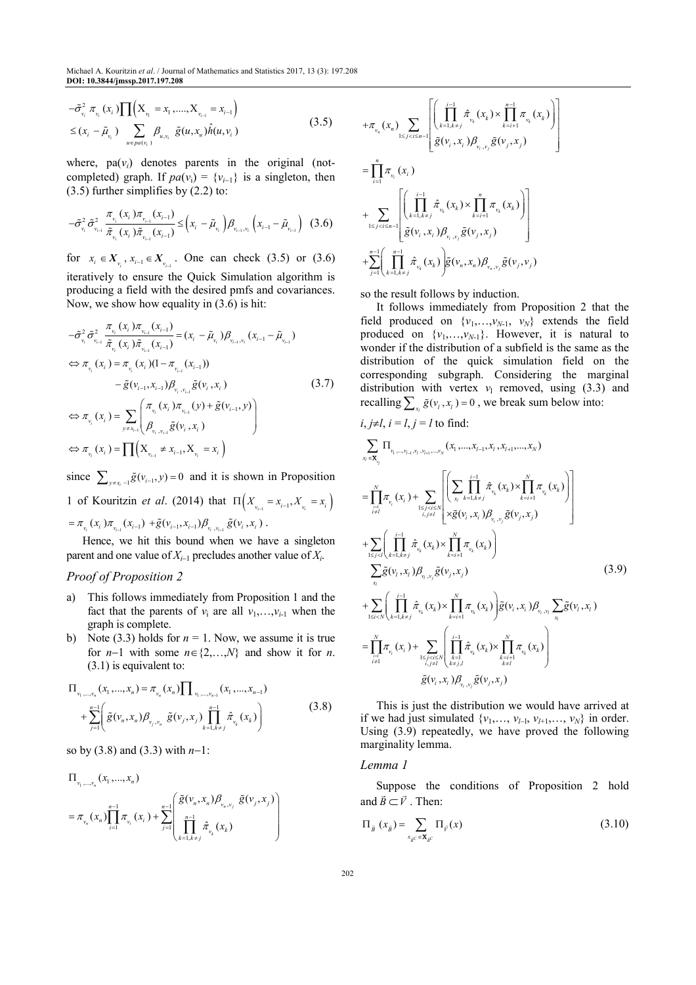$$
-\tilde{\sigma}_{v_i}^2 \pi_{v_i}(x_i) \prod (X_{v_i} = x_1, \dots, X_{v_{i-1}} = x_{i-1})
$$
  
\n
$$
\leq (x_i - \tilde{\mu}_{v_i}) \sum_{u \in pa(v_i)} \beta_{u,v_i} \tilde{g}(u, x_u) \hat{h}(u, v_i)
$$
\n(3.5)

where,  $pa(v_i)$  denotes parents in the original (notcompleted) graph. If  $pa(v_i) = \{v_{i-1}\}\$ is a singleton, then (3.5) further simplifies by (2.2) to:

$$
-\tilde{\sigma}_{v_i}^2 \tilde{\sigma}_{v_{i-1}}^2 \frac{\pi_{v_i}(x_i)\pi_{v_{i-1}}(x_{i-1})}{\tilde{\pi}_{v_i}(x_i)\tilde{\pi}_{v_{i-1}}(x_{i-1})} \leq \left(x_i - \tilde{\mu}_{v_i}\right) \beta_{v_{i-1}, v_i} \left(x_{i-1} - \tilde{\mu}_{v_{i-1}}\right)
$$
(3.6)

for  $x_i \in X_{\nu_i}$ ,  $x_{i-1} \in X_{\nu_{i-1}}$ . One can check (3.5) or (3.6) iteratively to ensure the Quick Simulation algorithm is producing a field with the desired pmfs and covariances. Now, we show how equality in (3.6) is hit:

$$
-\tilde{\sigma}_{v_i}^2 \tilde{\sigma}_{v_{i-1}}^2 \frac{\pi_{v_i} (x_i) \pi_{v_{i-1}} (x_{i-1})}{\tilde{\pi}_{v_i} (x_i) \tilde{\pi}_{v_{i-1}} (x_{i-1})} = (x_i - \tilde{\mu}_{v_i}) \beta_{v_{i-1}, v_i} (x_{i-1} - \tilde{\mu}_{v_{i-1}})
$$
  
\n
$$
\Leftrightarrow \pi_{v_i} (x_i) = \pi_{v_i} (x_i) (1 - \pi_{v_{i-1}} (x_{i-1}))
$$
  
\n
$$
- \tilde{g}(v_{i-1}, x_{i-1}) \beta_{v_i, v_{i-1}} \tilde{g}(v_i, x_i)
$$
  
\n
$$
\Leftrightarrow \pi_{v_i} (x_i) = \sum_{y \neq x_{i-1}} \left( \frac{\pi_{v_i} (x_i) \pi_{v_{i-1}} (y) + \tilde{g}(v_{i-1}, y)}{\beta_{v_i, v_{i-1}} \tilde{g}(v_i, x_i)} \right)
$$
  
\n
$$
\Leftrightarrow \pi_{v_i} (x_i) = \prod (x_{v_{i-1}} \neq x_{i-1}, x_{v_i} = x_i)
$$
 (3.7)

since  $\sum_{y \neq x_i-1} \tilde{g}(v_{i-1}, y) = 0$  and it is shown in Proposition 1 of Kouritzin *et al.* (2014) that  $\Pi \left( X_{v_{i-1}} = x_{i-1}, X_{v_i} = x_i \right)$  $=\pi_{_{\mathcal{V}_i}}(x_i)\pi_{_{\mathcal{V}_{i-1}}}(x_{i-1})+\tilde{g}(\mathcal{V}_{i-1},x_{i-1})\beta_{_{\mathcal{V}_i},\mathcal{V}_{i-1}}\tilde{g}(\mathcal{V}_i,x_i).$ 

Hence, we hit this bound when we have a singleton parent and one value of *Xi*−1 precludes another value of *X<sup>i</sup>* .

# *Proof of Proposition 2*

- a) This follows immediately from Proposition 1 and the fact that the parents of  $v_i$  are all  $v_1, \ldots, v_{i-1}$  when the graph is complete.
- b) Note (3.3) holds for  $n = 1$ . Now, we assume it is true for *n*−1 with some  $n \in \{2,...,N\}$  and show it for *n*. (3.1) is equivalent to:

$$
\Pi_{v_1, \dots, v_n}(x_1, \dots, x_n) = \pi_{v_n}(x_n) \prod_{v_1, \dots, v_{n-1}} (x_1, \dots, x_{n-1})
$$
\n
$$
+ \sum_{j=1}^{n-1} \left( \tilde{g}(v_n, x_n) \beta_{v_j, v_n} \tilde{g}(v_j, x_j) \prod_{k=1, k \neq j}^{n-1} \hat{\pi}_{v_k}(x_k) \right)
$$
\n(3.8)

so by (3.8) and (3.3) with *n*−1:

$$
\Pi_{\nu_1, \dots, \nu_n}(x_1, \dots, x_n) = \pi_{\nu_n}(x_n) \prod_{i=1}^{n-1} \pi_{\nu_i}(x_i) + \sum_{j=1}^{n-1} \left( \frac{\tilde{g}(\nu_n, x_n) \beta_{\nu_n, \nu_j}}{\prod_{k=1, k \neq j}^{n-1} \hat{\pi}_{\nu_k}(x_k)} \tilde{g}(\nu_j, x_j) \right)
$$

$$
\begin{split} &+\pi_{_{\boldsymbol{v}_n}}(\boldsymbol{x}_n)\sum_{1\leq j
$$

so the result follows by induction.

It follows immediately from Proposition 2 that the field produced on  $\{v_1, \ldots, v_{N-1}, v_N\}$  extends the field produced on  $\{v_1, \ldots, v_{N-1}\}$ . However, it is natural to wonder if the distribution of a subfield is the same as the distribution of the quick simulation field on the corresponding subgraph. Considering the marginal distribution with vertex  $v_1$  removed, using (3.3) and recalling  $\sum_{x_i} \tilde{g}(v_i, x_i) = 0$ , we break sum below into:

$$
i, j \neq l, i = l, j = l \text{ to find:}
$$
\n
$$
\sum_{x_i \in \mathbf{X}_{y_i}} \Pi_{y_{1}, \dots, y_{l-1}, y_{l}, y_{l+1}, \dots, y_{N}}(x_1, \dots, x_{l-1}, x_i, x_{l+1}, \dots, x_{N})
$$
\n
$$
= \prod_{i=1}^{N} \pi_{v_i}(x_i) + \sum_{1 \leq j < l \leq N \atop i \neq l} \left[ \sum_{x_i} \prod_{k=1, k \neq j}^{i-1} \hat{\pi}_{v_k}(x_k) \times \prod_{k=i+1}^{N} \pi_{v_k}(x_k) \right]
$$
\n
$$
+ \sum_{1 \leq j < l \atop x_j \leq l} \left( \prod_{k=1, k \neq j}^{i-1} \hat{\pi}_{v_k}(x_k) \times \prod_{k=i+1}^{N} \pi_{v_k}(x_k) \right)
$$
\n
$$
- \sum_{x_i} \tilde{g}(v_i, x_i) \beta_{v_i, y_j} \tilde{g}(v_j, x_j)
$$
\n
$$
+ \sum_{1 \leq j < l \atop x_i \leq l, k=l, k \neq j} \left( \prod_{x_i}^{i-1} \hat{\pi}_{v_k}(x_k) \times \prod_{k=i+1}^{N} \pi_{v_k}(x_k) \right) \tilde{g}(v_i, x_i) \beta_{v_i, y_i} \sum_{x_i} \tilde{g}(v_i, x_i)
$$
\n
$$
= \prod_{i=1, k \atop i \neq l}^{N} \pi_{v_i}(x_i) + \sum_{1 \leq j < l \leq N \atop i \neq l} \left( \prod_{k=1, k \atop k \neq j, l}^{i-1} \hat{\pi}_{v_k}(x_k) \times \prod_{k=i+1 \atop k \neq l}^{N} \pi_{v_k}(x_k) \right)
$$
\n
$$
\tilde{g}(v_i, x_i) \beta_{v_i, y_j} \tilde{g}(v_j, x_j)
$$
\n(3.9)

This is just the distribution we would have arrived at if we had just simulated  $\{v_1, \ldots, v_{l-1}, v_{l+1}, \ldots, v_N\}$  in order. Using (3.9) repeatedly, we have proved the following marginality lemma.

#### *Lemma 1*

Suppose the conditions of Proposition 2 hold and  $\vec{B} \subset \vec{V}$ . Then:

$$
\Pi_{\vec{B}}(x_{\vec{B}}) = \sum_{x_{\vec{B}^c} \in \mathbf{X}_{\vec{B}^c}} \Pi_{\vec{V}}(x) \tag{3.10}
$$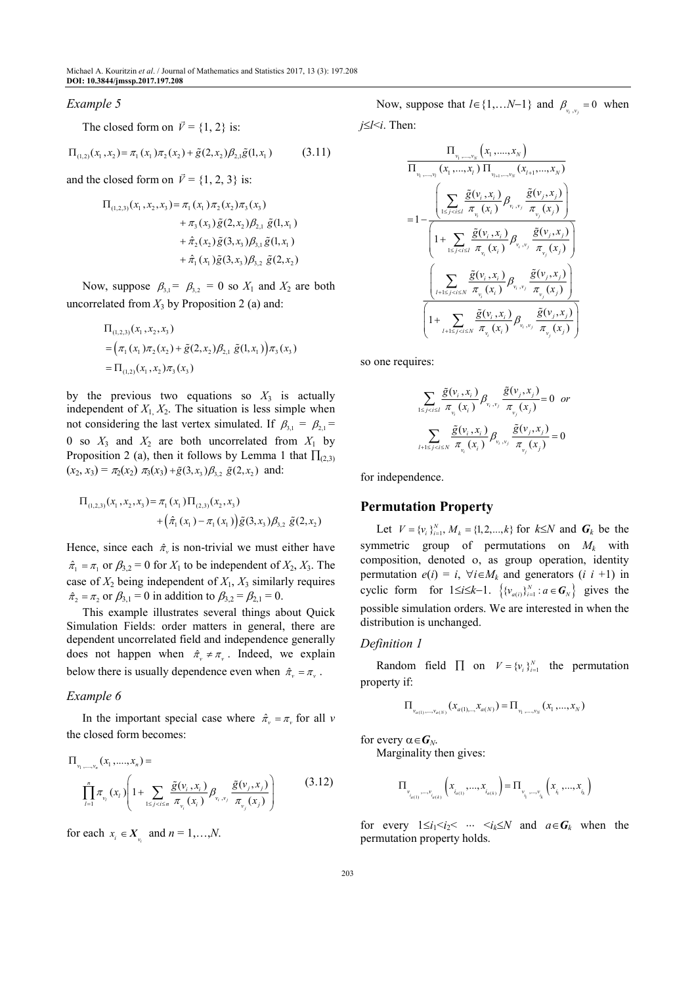#### *Example 5*

The closed form on  $\vec{v} = \{1, 2\}$  is:

$$
\Pi_{(1,2)}(x_1, x_2) = \pi_1(x_1)\pi_2(x_2) + \tilde{g}(2, x_2)\beta_{2,1}\tilde{g}(1, x_1)
$$
\n(3.11)

and the closed form on  $\vec{v} = \{1, 2, 3\}$  is:

$$
\Pi_{(1,2,3)}(x_1, x_2, x_3) = \pi_1(x_1) \pi_2(x_2) \pi_3(x_3)
$$
  
+  $\pi_3(x_3) \tilde{g}(2, x_2) \beta_{2,1} \tilde{g}(1, x_1)$   
+  $\hat{\pi}_2(x_2) \tilde{g}(3, x_3) \beta_{3,1} \tilde{g}(1, x_1)$   
+  $\hat{\pi}_1(x_1) \tilde{g}(3, x_3) \beta_{3,2} \tilde{g}(2, x_2)$ 

Now, suppose  $\beta_{3,1} = \beta_{3,2} = 0$  so  $X_1$  and  $X_2$  are both uncorrelated from  $X_3$  by Proposition 2 (a) and:

$$
\Pi_{(1,2,3)}(x_1, x_2, x_3)
$$
  
=  $(\pi_1(x_1)\pi_2(x_2) + \tilde{g}(2, x_2)\beta_{2,1} \tilde{g}(1, x_1))\pi_3(x_3)$   
=  $\Pi_{(1,2)}(x_1, x_2)\pi_3(x_3)$ 

by the previous two equations so  $X_3$  is actually independent of  $X_1, X_2$ . The situation is less simple when not considering the last vertex simulated. If  $\beta_{3,1} = \beta_{2,1} =$ 0 so  $X_3$  and  $X_2$  are both uncorrelated from  $X_1$  by Proposition 2 (a), then it follows by Lemma 1 that  $\prod_{(2,3)}$  $(x_2, x_3) = \pi_2(x_2) \pi_3(x_3) + \tilde{g}(3, x_3) \beta_{3,2} \tilde{g}(2, x_2)$  and:

$$
\Pi_{(1,2,3)}(x_1, x_2, x_3) = \pi_1(x_1) \Pi_{(2,3)}(x_2, x_3) + (\hat{\pi}_1(x_1) - \pi_1(x_1)) \tilde{g}(3, x_3) \beta_{3,2} \tilde{g}(2, x_2)
$$

Hence, since each  $\hat{\pi}$  is non-trivial we must either have  $\hat{\pi}_1 = \pi_1$  or  $\beta_{3,2} = 0$  for  $X_1$  to be independent of  $X_2, X_3$ . The case of  $X_2$  being independent of  $X_1$ ,  $X_3$  similarly requires  $\hat{\pi}_2 = \pi_2$  or  $\beta_{3,1} = 0$  in addition to  $\beta_{3,2} = \beta_{2,1} = 0$ .

This example illustrates several things about Quick Simulation Fields: order matters in general, there are dependent uncorrelated field and independence generally does not happen when  $\hat{\pi} \neq \pi$ . Indeed, we explain below there is usually dependence even when  $\hat{\pi}_v = \pi_v$ .

## *Example 6*

In the important special case where  $\hat{\pi}_v = \pi_v$  for all *v* the closed form becomes:

$$
\Pi_{v_1, \dots, v_n}(x_1, \dots, x_n) = \prod_{i=1}^n \pi_{v_i}(x_i) \left( 1 + \sum_{1 \le j < i \le n} \frac{\tilde{g}(v_i, x_i)}{\pi_{v_i}(x_i)} \beta_{v_i, v_j} \frac{\tilde{g}(v_j, x_j)}{\pi_{v_j}(x_j)} \right) \tag{3.12}
$$

for each  $x_i \in X_{\nu_i}$  and  $n = 1, \ldots, N$ .

Now, suppose that  $l \in \{1,...N-1\}$  and  $\beta_{v_i, v_j} = 0$  when *j*≤*l*<*i*. Then:

$$
\frac{\Pi_{v_{1},...,v_{N}}(x_{1},...,x_{N})}{\Pi_{v_{1},...,v_{i}}(x_{1},...,x_{j})\Pi_{v_{i+1},...,v_{N}}(x_{i+1},...,x_{N})}
$$
\n
$$
=1-\frac{\left(\sum_{1\leq j\leq l\leq I}\frac{\tilde{g}(v_{i},x_{i})}{\pi_{v_{i}}(x_{i})}\beta_{v_{i},v_{j}}\frac{\tilde{g}(v_{j},x_{j})}{\pi_{v_{j}}(x_{j})}\right)}{\left(1+\sum_{1\leq j\leq l\leq I}\frac{\tilde{g}(v_{i},x_{i})}{\pi_{v_{i}}(x_{i})}\beta_{v_{i},v_{j}}\frac{\tilde{g}(v_{j},x_{j})}{\pi_{v_{j}}(x_{j})}\right)}
$$
\n
$$
\frac{\left(\sum_{l+1\leq j\leq l\leq N}\frac{\tilde{g}(v_{i},x_{i})}{\pi_{v_{i}}(x_{i})}\beta_{v_{i},v_{j}}\frac{\tilde{g}(v_{j},x_{j})}{\pi_{v_{j}}(x_{j})}\right)}{\left(1+\sum_{l+1\leq j\leq l\leq N}\frac{\tilde{g}(v_{i},x_{i})}{\pi_{v_{i}}(x_{i})}\beta_{v_{i},v_{j}}\frac{\tilde{g}(v_{j},x_{j})}{\pi_{v_{j}}(x_{j})}\right)}
$$

so one requires:

$$
\sum_{1 \leq j < i \leq l} \frac{\tilde{g}(v_i, x_i)}{\pi_{v_i}(x_i)} \beta_{v_i, v_j} \frac{\tilde{g}(v_j, x_j)}{\pi_{v_j}(x_j)} = 0 \text{ or}
$$
\n
$$
\sum_{l+1 \leq j < i \leq N} \frac{\tilde{g}(v_i, x_i)}{\pi_{v_i}(x_i)} \beta_{v_i, v_j} \frac{\tilde{g}(v_j, x_j)}{\pi_{v_j}(x_j)} = 0
$$

for independence.

# **Permutation Property**

Let  $V = \{v_i\}_{i=1}^N, M_k = \{1, 2, ..., k\}$  for  $k \leq N$  and  $G_k$  be the symmetric group of permutations on  $M_k$  with composition, denoted ο, as group operation, identity permutation  $e(i) = i$ ,  $\forall i \in M_k$  and generators  $(i \ i +1)$  in cyclic form for  $1 \le i \le k-1$ .  $\left\{ \{v_{a(i)}\}_{i=1}^N : a \in G_N \right\}$  gives the possible simulation orders. We are interested in when the distribution is unchanged.

#### *Definition 1*

Random field  $\prod$  on  $V = \{v_i\}_{i=1}^N$  the permutation property if:

$$
\Pi_{\nu_{a(1)},\dots,\nu_{a(N)}}(x_{a(1),\dots,x_{a(N)}}) = \Pi_{\nu_1,\dots,\nu_N}(x_1,\dots,x_N)
$$

for every  $\alpha \in G_N$ .

Marginality then gives:

$$
\Pi_{v_{i_{a(1)}},\ldots,v_{i_{a(k)}}}\left(x_{i_{a(1)}},\ldots,x_{i_{a(k)}}\right)=\Pi_{v_{i_{i_{1}}},\ldots,v_{i_{k}}}\left(x_{i_{1}},\ldots,x_{i_{k}}\right)
$$

for every  $1 \le i_1 < i_2 < \cdots < i_k \le N$  and  $a \in G_k$  when the permutation property holds.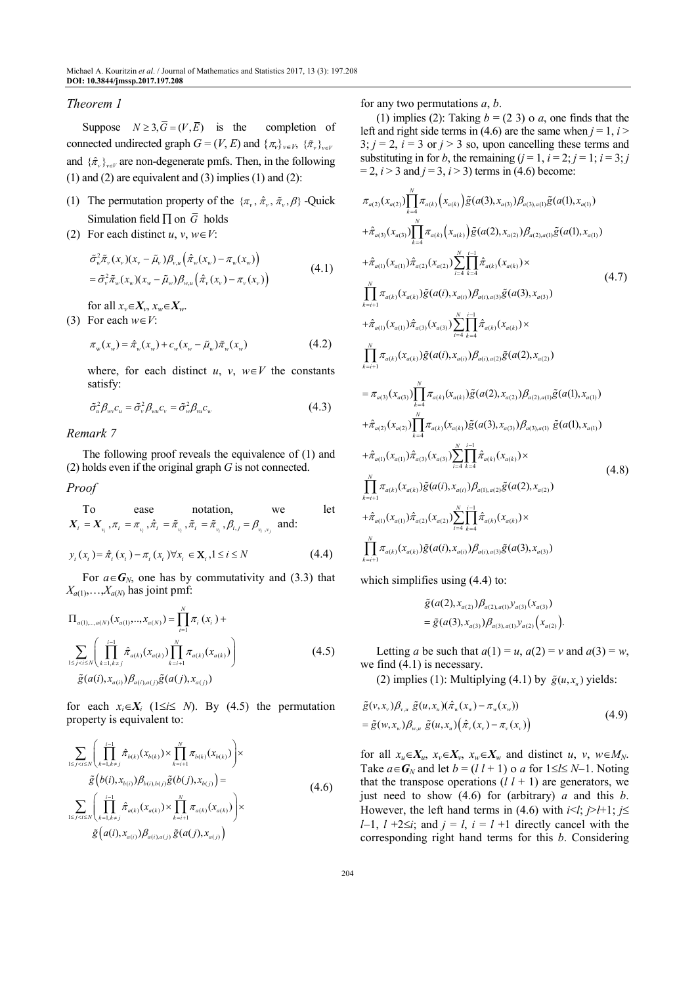## *Theorem 1*

Suppose  $N \geq 3$ ,  $\overline{G} = (V, \overline{E})$  is the completion of connected undirected graph  $G = (V, E)$  and  $\{\pi_v\}_{v \in V}$ ,  $\{\tilde{\pi}_v\}_{v \in V}$ and  $\{\hat{\pi}_v\}_{v \in V}$  are non-degenerate pmfs. Then, in the following  $(1)$  and  $(2)$  are equivalent and  $(3)$  implies  $(1)$  and  $(2)$ :

- (1) The permutation property of the  $\{\pi_v, \hat{\pi}_v, \hat{\pi}_v, \beta\}$  -Quick Simulation field ∏ on *G* holds
- (2) For each distinct  $u, v, w \in V$ :

$$
\tilde{\sigma}_{w}^{2}\tilde{\pi}_{v}(x_{v})(x_{v}-\tilde{\mu}_{v})\beta_{v,u}\left(\hat{\pi}_{w}(x_{w})-\pi_{w}(x_{w})\right) \n= \tilde{\sigma}_{v}^{2}\tilde{\pi}_{w}(x_{w})(x_{w}-\tilde{\mu}_{w})\beta_{w,u}\left(\hat{\pi}_{v}(x_{v})-\pi_{v}(x_{v})\right)
$$
\n(4.1)

for all  $x_v \in X_v$ ,  $x_w \in X_w$ .

(3) For each  $w \in V$ :

$$
\pi_{w}(x_{w}) = \hat{\pi}_{w}(x_{w}) + c_{w}(x_{w} - \tilde{\mu}_{w})\tilde{\pi}_{w}(x_{w})
$$
\n(4.2)

where, for each distinct *u*, *v*,  $w \in V$  the constants satisfy:

$$
\tilde{\sigma}_u^2 \beta_{\scriptscriptstyle\rm Wv} c_u = \tilde{\sigma}_v^2 \beta_{\scriptscriptstyle\rm Wu} c_v = \tilde{\sigma}_w^2 \beta_{\scriptscriptstyle\rm Wu} c_w \tag{4.3}
$$

*Remark 7* 

The following proof reveals the equivalence of (1) and (2) holds even if the original graph *G* is not connected.

#### *Proof*

To ease notation, we let 
$$
X_i = X_{\nu_i}, \pi_i = \pi_{\nu_i}, \hat{\pi}_i = \tilde{\pi}_{\nu_i}, \tilde{\pi}_i = \tilde{\pi}_{\nu_i}, \beta_{i,j} = \beta_{\nu_i, \nu_j}
$$
 and:

$$
y_{i}(x_{i}) = \hat{\pi}_{i}(x_{i}) - \pi_{i}(x_{i}) \forall x_{i} \in \mathbf{X}_{i}, 1 \leq i \leq N
$$
\n(4.4)

For  $a \in G_N$ , one has by commutativity and (3.3) that  $X_{a(1)},...,X_{a(N)}$  has joint pmf:

$$
\Pi_{a(1),...,a(N)}(x_{a(1)},...,x_{a(N)}) = \prod_{i=1}^{N} \pi_i(x_i) + \sum_{1 \le j < i \le N} \left( \prod_{k=1, k \ne j}^{i-1} \hat{\pi}_{a(k)}(x_{a(k)}) \prod_{k=i+1}^{N} \pi_{a(k)}(x_{a(k)}) \right)
$$
\n
$$
\tilde{g}(a(i), x_{a(i)}) \beta_{a(i), a(j)} \tilde{g}(a(j), x_{a(j)}) \tag{4.5}
$$

for each  $x_i \in X_i$  (1≤*i*≤ *N*). By (4.5) the permutation property is equivalent to:

$$
\sum_{1 \le j < i \le N} \left( \prod_{k=1, k \ne j}^{i-1} \hat{\pi}_{b(k)}(x_{b(k)}) \times \prod_{k=i+1}^{N} \pi_{b(k)}(x_{b(k)}) \right) \times \tilde{g}(b(i), x_{b(i)}) \beta_{b(i), b(j)} \tilde{g}(b(j), x_{b(j)}) = \sum_{1 \le j < i \le N} \left( \prod_{k=1, k \ne j}^{i-1} \hat{\pi}_{a(k)}(x_{a(k)}) \times \prod_{k=i+1}^{N} \pi_{a(k)}(x_{a(k)}) \right) \times \tilde{g}(a(i), x_{a(i)}) \beta_{a(i), a(j)} \tilde{g}(a(j), x_{a(j)}) \tag{4.6}
$$

for any two permutations *a*, *b*.

(1) implies (2): Taking  $b = (2, 3)$  o *a*, one finds that the left and right side terms in (4.6) are the same when  $j = 1$ ,  $i >$  $3; j = 2, i = 3 \text{ or } j > 3 \text{ so, upon cancelling these terms and}$ substituting in for *b*, the remaining  $(j = 1, i = 2; j = 1; i = 3; j$  $= 2, i > 3$  and  $j = 3, i > 3$ ) terms in (4.6) become:

$$
\pi_{a(2)}(x_{a(2)})\prod_{k=4}^{N} \pi_{a(k)}(x_{a(k)})\tilde{g}(a(3), x_{a(3)})\beta_{a(3),a(1)}\tilde{g}(a(1), x_{a(1)}) \n+ \hat{\pi}_{a(3)}(x_{a(3)})\prod_{k=4}^{N} \pi_{a(k)}(x_{a(k)})\tilde{g}(a(2), x_{a(2)})\beta_{a(2),a(1)}\tilde{g}(a(1), x_{a(1)}) \n+ \hat{\pi}_{a(1)}(x_{a(1)})\hat{\pi}_{a(2)}(x_{a(2)})\sum_{i=4}^{N}\prod_{k=4}^{i-1} \hat{\pi}_{a(k)}(x_{a(k)}) \times \n\prod_{k=i+1}^{N} \pi_{a(k)}(x_{a(k)})\tilde{g}(a(i), x_{a(i)})\beta_{a(i),a(3)}\tilde{g}(a(3), x_{a(3)}) \n+ \hat{\pi}_{a(1)}(x_{a(k)})\tilde{\pi}_{a(3)}(x_{a(3)})\sum_{i=4}^{N}\prod_{k=4}^{i-1} \hat{\pi}_{a(k)}(x_{a(k)}) \times \n\prod_{k=i+1}^{N} \pi_{a(k)}(x_{a(k)})\tilde{g}(a(i), x_{a(i)})\beta_{a(i),a(2)}\tilde{g}(a(2), x_{a(2)}) \n= \pi_{a(3)}(x_{a(3)})\prod_{k=4}^{N} \pi_{a(k)}(x_{a(k)})\tilde{g}(a(2), x_{a(2)})\beta_{a(2),a(1)}\tilde{g}(a(1), x_{a(1)}) \n+ \hat{\pi}_{a(2)}(x_{a(2)})\prod_{k=4}^{N} \pi_{a(k)}(x_{a(k)})\tilde{g}(a(3), x_{a(3)})\beta_{a(3),a(1)}\tilde{g}(a(1), x_{a(1)}) \n+ \hat{\pi}_{a(1)}(x_{a(1)})\hat{\pi}_{a(3)}(x_{a(3)})\sum_{i=4}^{N}\prod_{k=4}^{i-1} \hat{\pi}_{a(k)}(x_{a(k)}) \times \n+ \hat{\pi}_{a(1)}(x_{a(1)})\hat{\pi}_{a(2)}(x_{a(2)})\sum_{i=4}^{N}\prod_{k=4}^{i-1} \hat{\pi}_{a(k)}(x_{
$$

which simplifies using  $(4.4)$  to:

$$
\tilde{g}(a(2), x_{a(2)})\beta_{a(2), a(1)}y_{a(3)}(x_{a(3)})
$$
  
= 
$$
\tilde{g}(a(3), x_{a(3)})\beta_{a(3), a(1)}y_{a(2)}(x_{a(2)}).
$$

Letting *a* be such that  $a(1) = u$ ,  $a(2) = v$  and  $a(3) = w$ , we find (4.1) is necessary.

(2) implies (1): Multiplying (4.1) by  $\tilde{g}(u, x_u)$  yields:

$$
\tilde{g}(v, x_v) \beta_{v,u} \tilde{g}(u, x_u) (\hat{\pi}_w(x_w) - \pi_w(x_w))
$$
\n
$$
= \tilde{g}(w, x_w) \beta_{w,u} \tilde{g}(u, x_u) (\hat{\pi}_v(x_v) - \pi_v(x_v))
$$
\n
$$
(4.9)
$$

for all  $x_u \in X_u$ ,  $x_v \in X_v$ ,  $x_w \in X_w$  and distinct *u*, *v*,  $w \in M_N$ . Take  $a \in G_N$  and let  $b = (l \ l + 1)$  o  $a$  for  $1 \le l \le N-1$ . Noting that the transpose operations  $(l \, l + 1)$  are generators, we just need to show (4.6) for (arbitrary) *a* and this *b*. However, the left hand terms in (4.6) with  $i < l$ ;  $j > l+1$ ;  $j \leq$ *l*−1, *l* +2≤*i*; and  $j = l$ ,  $i = l +1$  directly cancel with the corresponding right hand terms for this *b*. Considering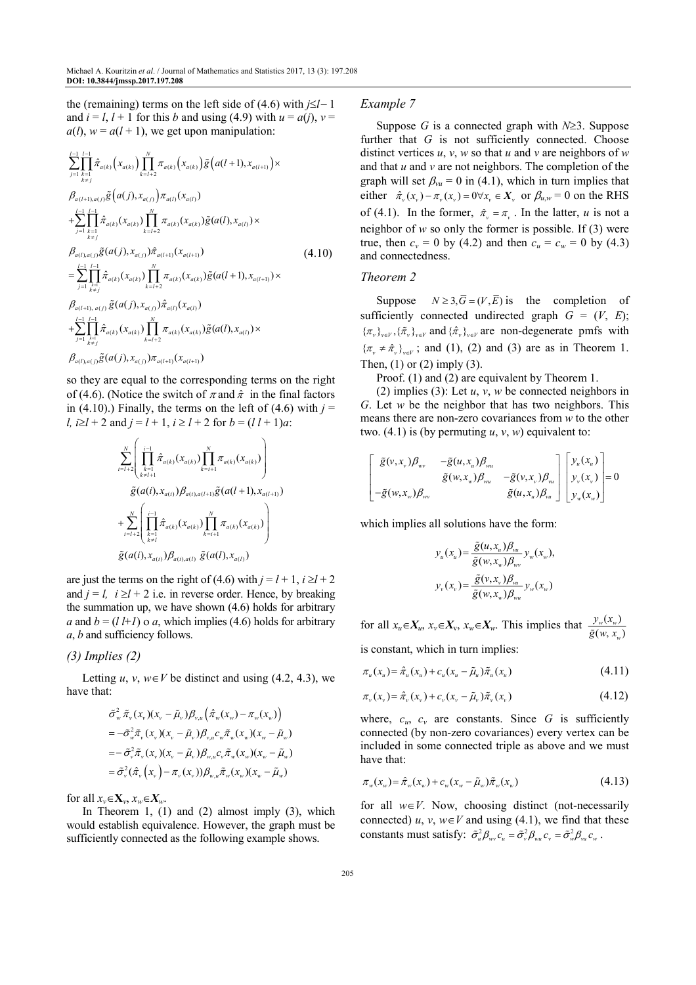the (remaining) terms on the left side of (4.6) with *j*≤*l*− 1 and  $i = l$ ,  $l + 1$  for this *b* and using (4.9) with  $u = a(i)$ ,  $v =$  $a(l)$ ,  $w = a(l + 1)$ , we get upon manipulation:

$$
\sum_{j=1}^{l-1} \prod_{\substack{k=1 \ k \neq j}}^{l-1} \hat{\pi}_{a(k)}(x_{a(k)}) \prod_{k=l+2}^{N} \pi_{a(k)}(x_{a(k)}) \tilde{g}(a(l+1), x_{a(l+1)}) \times \n\beta_{a(l+1),a(j)} \tilde{g}(a(j), x_{a(j)}) \pi_{a(l)}(x_{a(l)}) \n+ \sum_{j=1}^{l-1} \prod_{\substack{k=1 \ k \neq j}}^{l-1} \hat{\pi}_{a(k)}(x_{a(k)}) \prod_{k=l+2}^{N} \pi_{a(k)}(x_{a(k)}) \tilde{g}(a(l), x_{a(l)}) \times \n\beta_{a(l),a(j)} \tilde{g}(a(j), x_{a(j)}) \hat{\pi}_{a(l+1)}(x_{a(l+1)}) \n= \sum_{j=1}^{l-1} \prod_{\substack{k=1 \ k \neq j}}^{l-1} \hat{\pi}_{a(k)}(x_{a(k)}) \prod_{k=l+2}^{N} \pi_{a(k)}(x_{a(k)}) \tilde{g}(a(l+1), x_{a(l+1)}) \times \n\beta_{a(l+1), a(j)} \tilde{g}(a(j), x_{a(j)}) \hat{\pi}_{a(l)}(x_{a(l)}) \n+ \sum_{j=1}^{l-1} \prod_{\substack{k=1 \ k \neq j}}^{l-1} \hat{\pi}_{a(k)}(x_{a(k)}) \prod_{k=l+2}^{N} \pi_{a(k)}(x_{a(k)}) \tilde{g}(a(l), x_{a(l)}) \times \n\beta_{a(l),a(j)} \tilde{g}(a(j), x_{a(j)}) \pi_{a(l+1)}(x_{a(l+1)})
$$

so they are equal to the corresponding terms on the right of (4.6). (Notice the switch of  $\pi$  and  $\hat{\pi}$  in the final factors in (4.10).) Finally, the terms on the left of (4.6) with  $j =$ *l, i* $\ge$ *l* + 2 and *j* = *l* + 1, *i* $\ge$  *l* + 2 for *b* = (*l l* + 1)*a*:

$$
\sum_{i=l+2}^{N} \left( \prod_{\substack{k=1 \ k \neq l+1}}^{i-1} \hat{\pi}_{a(k)}(x_{a(k)}) \prod_{k=i+1}^{N} \pi_{a(k)}(x_{a(k)}) \right) \n\tilde{g}(a(i), x_{a(i)}) \beta_{a(i), a(l+1)} \tilde{g}(a(l+1), x_{a(l+1)}) \n+ \sum_{i=l+2}^{N} \left( \prod_{\substack{k=1 \ k \neq l}}^{i-1} \hat{\pi}_{a(k)}(x_{a(k)}) \prod_{k=i+1}^{N} \pi_{a(k)}(x_{a(k)}) \right) \n\tilde{g}(a(i), x_{a(i)}) \beta_{a(i), a(l)} \tilde{g}(a(l), x_{a(l)})
$$

are just the terms on the right of (4.6) with  $j = l + 1$ ,  $i \ge l + 2$ and  $j = l$ ,  $i \ge l + 2$  i.e. in reverse order. Hence, by breaking the summation up, we have shown (4.6) holds for arbitrary *a* and  $b = (l + 1)$  o *a*, which implies (4.6) holds for arbitrary *a*, *b* and sufficiency follows.

# *(3) Implies (2)*

Letting  $u, v, w \in V$  be distinct and using (4.2, 4.3), we have that:

$$
\tilde{\sigma}_{w}^{2} \tilde{\pi}_{v} (x_{v})(x_{v} - \tilde{\mu}_{v}) \beta_{v,u} (\hat{\pi}_{w}(x_{w}) - \pi_{w}(x_{w}))
$$
\n
$$
= -\tilde{\sigma}_{w}^{2} \tilde{\pi}_{v} (x_{v})(x_{v} - \tilde{\mu}_{v}) \beta_{v,u} c_{w} \tilde{\pi}_{w} (x_{w})(x_{w} - \tilde{\mu}_{w})
$$
\n
$$
= -\tilde{\sigma}_{v}^{2} \tilde{\pi}_{v} (x_{v})(x_{v} - \tilde{\mu}_{v}) \beta_{w,u} c_{v} \tilde{\pi}_{w} (x_{w})(x_{w} - \tilde{\mu}_{w})
$$
\n
$$
= \tilde{\sigma}_{v}^{2} (\hat{\pi}_{v} (x_{v}) - \pi_{v} (x_{v})) \beta_{w,u} \tilde{\pi}_{w} (x_{w})(x_{w} - \tilde{\mu}_{w})
$$

for all  $x_v \in \mathbf{X}_v$ ,  $x_w \in X_w$ .

In Theorem 1, (1) and (2) almost imply (3), which would establish equivalence. However, the graph must be sufficiently connected as the following example shows.

#### *Example 7*

Suppose *G* is a connected graph with *N*≥3. Suppose further that *G* is not sufficiently connected. Choose distinct vertices *u*, *v*, *w* so that *u* and *v* are neighbors of *w*  and that *u* and *v* are not neighbors. The completion of the graph will set  $\beta_{vu} = 0$  in (4.1), which in turn implies that either  $\hat{\pi}_v(x_v) - \pi_v(x_v) = 0 \forall x_v \in X_v$  or  $\beta_{u,w} = 0$  on the RHS of (4.1). In the former,  $\hat{\pi}_v = \pi_v$ . In the latter, *u* is not a neighbor of  $w$  so only the former is possible. If  $(3)$  were true, then  $c_v = 0$  by (4.2) and then  $c_u = c_w = 0$  by (4.3) and connectedness.

## *Theorem 2*

Suppose  $N \ge 3$ ,  $\overline{G} = (V, \overline{E})$  is the completion of sufficiently connected undirected graph  $G = (V, E)$ ;  ${\{\pi_{\nu}\}}_{\nu\in V}, {\{\tilde{\pi}_{\nu}\}}_{\nu\in V}$  and  ${\{\hat{\pi}_{\nu}\}}_{\nu\in V}$  are non-degenerate pmfs with  $\{\pi_{\nu} \neq \hat{\pi}_{\nu}\}_{\nu \in V}$ ; and (1), (2) and (3) are as in Theorem 1. Then,  $(1)$  or  $(2)$  imply  $(3)$ .

Proof. (1) and (2) are equivalent by Theorem 1.

(2) implies (3): Let *u*, *v*, *w* be connected neighbors in *G*. Let *w* be the neighbor that has two neighbors. This means there are non-zero covariances from *w* to the other two.  $(4.1)$  is (by permuting  $u, v, w$ ) equivalent to:

$$
\begin{bmatrix}\n\tilde{g}(v, x_v)\beta_{uv} & -\tilde{g}(u, x_u)\beta_{wu} \\
\tilde{g}(w, x_w)\beta_{wu} & -\tilde{g}(v, x_v)\beta_{vu} \\
-\tilde{g}(w, x_w)\beta_{uv} & \tilde{g}(u, x_u)\beta_{uu}\n\end{bmatrix}\n\begin{bmatrix}\ny_u(x_u) \\
y_v(x_v) \\
y_v(x_v)\n\end{bmatrix} = 0
$$

which implies all solutions have the form:

$$
y_u(x_u) = \frac{\tilde{g}(u, x_u) \beta_{vu}}{\tilde{g}(w, x_w) \beta_{vv}} y_w(x_w),
$$
  

$$
y_v(x_v) = \frac{\tilde{g}(v, x_v) \beta_{vu}}{\tilde{g}(w, x_w) \beta_{vu}} y_w(x_w)
$$

for all  $x_u \in X_u$ ,  $x_v \in X_v$ ,  $x_w \in X_w$ . This implies that  $\frac{y_w(x_w)}{\tilde{g}(w, x_w)}$ *w*  $y_w(x_u)$  $\tilde{g}(w, x)$ is constant, which in turn implies:

$$
\pi_u(x_u) = \hat{\pi}_u(x_u) + c_u(x_u - \tilde{\mu}_u)\tilde{\pi}_u(x_u)
$$
\n(4.11)

$$
\pi_{\nu}(x_{\nu}) = \hat{\pi}_{\nu}(x_{\nu}) + c_{\nu}(x_{\nu} - \tilde{\mu}_{\nu})\tilde{\pi}_{\nu}(x_{\nu})
$$
\n(4.12)

where,  $c_u$ ,  $c_v$  are constants. Since  $G$  is sufficiently connected (by non-zero covariances) every vertex can be included in some connected triple as above and we must have that:

$$
\pi_w(x_w) = \hat{\pi}_w(x_w) + c_w(x_w - \tilde{\mu}_w)\tilde{\pi}_w(x_w)
$$
\n(4.13)

for all *w*∈*V*. Now, choosing distinct (not-necessarily connected)  $u, v, w \in V$  and using (4.1), we find that these constants must satisfy:  $\tilde{\sigma}_u^2 \beta_{wv} c_u = \tilde{\sigma}_v^2 \beta_{wu} c_v = \tilde{\sigma}_w^2 \beta_{vu} c_w$ .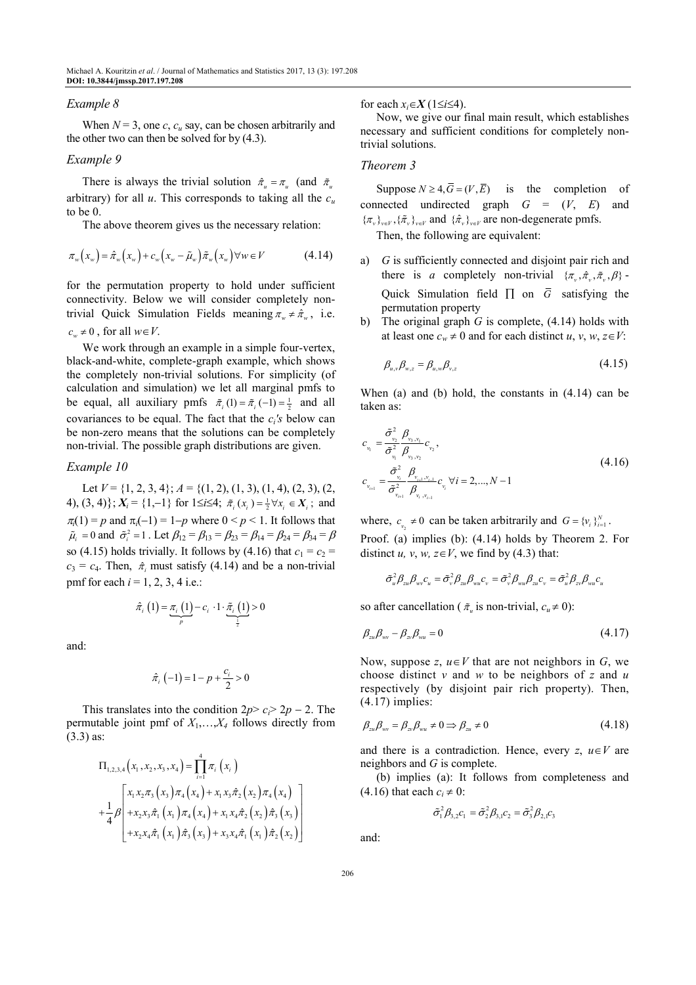#### *Example 8*

When  $N = 3$ , one *c*,  $c<sub>u</sub>$  say, can be chosen arbitrarily and the other two can then be solved for by (4.3).

## *Example 9*

There is always the trivial solution  $\hat{\pi}_u = \pi_u$  (and  $\tilde{\pi}_u$ arbitrary) for all  $u$ . This corresponds to taking all the  $c<sub>u</sub>$ to be 0.

The above theorem gives us the necessary relation:

$$
\pi_w(x_w) = \hat{\pi}_w(x_w) + c_w(x_w - \tilde{\mu}_w) \tilde{\pi}_w(x_w) \forall w \in V \tag{4.14}
$$

for the permutation property to hold under sufficient connectivity. Below we will consider completely nontrivial Quick Simulation Fields meaning  $\pi_w \neq \hat{\pi}_w$ , i.e.  $c_w \neq 0$ , for all  $w \in V$ .

We work through an example in a simple four-vertex, black-and-white, complete-graph example, which shows the completely non-trivial solutions. For simplicity (of calculation and simulation) we let all marginal pmfs to be equal, all auxiliary pmfs  $\tilde{\pi}_i(1) = \tilde{\pi}_i(-1) = \frac{1}{2}$  and all covariances to be equal. The fact that the *c<sup>i</sup> 's* below can be non-zero means that the solutions can be completely non-trivial. The possible graph distributions are given.

## *Example 10*

Let  $V = \{1, 2, 3, 4\}$ ;  $A = \{(1, 2), (1, 3), (1, 4), (2, 3), (2, 4)\}$ 4),  $(3, 4)$ ;  $X_i = \{1, -1\}$  for  $1 \le i \le 4$ ;  $\tilde{\pi}_i(x_i) = \frac{1}{2} \forall x_i \in X_i$ ; and  $\pi_i(1) = p$  and  $\pi_i(-1) = 1-p$  where  $0 \le p \le 1$ . It follows that  $\tilde{\mu}_i = 0$  and  $\tilde{\sigma}_i^2 = 1$ . Let  $\beta_{12} = \beta_{13} = \beta_{23} = \beta_{14} = \beta_{24} = \beta_{34} = \beta$ so (4.15) holds trivially. It follows by (4.16) that  $c_1 = c_2$  $c_3 = c_4$ . Then,  $\hat{\pi}$  must satisfy (4.14) and be a non-trivial pmf for each  $i = 1, 2, 3, 4$  i.e.:

$$
\hat{\pi}_{i}\left(1\right)=\underbrace{\pi_{i}\left(1\right)}_{p}-c_{i}\cdot1\cdot\underbrace{\tilde{\pi}_{i}\left(1\right)}_{\frac{1}{2}}>0
$$

and:

$$
\hat{\pi}_i(-1) = 1 - p + \frac{c_i}{2} > 0
$$

This translates into the condition  $2p > c<sub>i</sub> > 2p - 2$ . The permutable joint pmf of  $X_1, \ldots, X_4$  follows directly from (3.3) as:

$$
\Pi_{1,2,3,4}(x_1, x_2, x_3, x_4) = \prod_{i=1}^{4} \pi_i(x_i)
$$
\n
$$
+ \frac{1}{4} \beta \left[ x_1 x_2 \pi_3(x_3) \pi_4(x_4) + x_1 x_3 \hat{\pi}_2(x_2) \pi_4(x_4) + \frac{1}{4} \beta \left[ x_2 x_3 \hat{\pi}_1(x_1) \pi_4(x_4) + x_1 x_4 \hat{\pi}_2(x_2) \hat{\pi}_3(x_3) + x_2 x_4 \hat{\pi}_1(x_1) \hat{\pi}_2(x_2) \right] \right]
$$

for each  $x_i \in X$  (1≤*i*≤4).

Now, we give our final main result, which establishes necessary and sufficient conditions for completely nontrivial solutions.

# *Theorem 3*

Suppose  $N \geq 4$ ,  $\overline{G} = (V, \overline{E})$  is the completion of connected undirected graph *G* = (*V*, *E*) and  ${\{\pi_{\nu}\}}_{\nu\in V}, {\{\tilde{\pi}_{\nu}\}}_{\nu\in V}$  and  ${\{\hat{\pi}_{\nu}\}}_{\nu\in V}$  are non-degenerate pmfs.

Then, the following are equivalent:

- a) *G* is sufficiently connected and disjoint pair rich and there is *a* completely non-trivial  $\{\pi_v, \hat{\pi}_v, \hat{\pi}_v, \beta\}$ -Quick Simulation field  $\Pi$  on  $\overline{G}$  satisfying the permutation property
- The original graph *G* is complete, (4.14) holds with at least one  $c_w \neq 0$  and for each distinct *u*, *v*, *w*, *z*∈*V*:

$$
\beta_{u,v}\beta_{w,z} = \beta_{u,w}\beta_{v,z} \tag{4.15}
$$

When (a) and (b) hold, the constants in (4.14) can be taken as:

$$
c_{v_1} = \frac{\tilde{\sigma}_{v_2}^2}{\tilde{\sigma}_{v_1}^2} \frac{\beta_{v_3, v_1}}{\beta_{v_3, v_2}} c_{v_2},
$$
  
\n
$$
c_{v_{i+1}} = \frac{\tilde{\sigma}_{v_i}^2}{\tilde{\sigma}_{v_{i+1}}^2} \frac{\beta_{v_{i+1}, v_{i-1}}}{\beta_{v_{i+1}, v_{i-1}}} c_{v_i} \forall i = 2, ..., N-1
$$
\n(4.16)

where,  $c_{v_2} \neq 0$  can be taken arbitrarily and  $G = \{v_i\}_{i=1}^N$ . Proof. (a) implies (b): (4.14) holds by Theorem 2. For distinct *u*, *v*, *w*,  $z \in V$ , we find by (4.3) that:

$$
\tilde{\sigma}_u^2\beta_{zu}\beta_{wv}c_u=\tilde{\sigma}_v^2\beta_{zu}\beta_{wu}c_v=\tilde{\sigma}_v^2\beta_{wu}\beta_{zu}c_v=\tilde{\sigma}_u^2\beta_{zv}\beta_{wu}c_u
$$

so after cancellation ( $\tilde{\pi}_u$  is non-trivial,  $c_u \neq 0$ ):

$$
\beta_{zu}\beta_{w} - \beta_{z'}\beta_{wu} = 0 \tag{4.17}
$$

Now, suppose  $z, u \in V$  that are not neighbors in  $G$ , we choose distinct *v* and *w* to be neighbors of *z* and *u* respectively (by disjoint pair rich property). Then, (4.17) implies:

$$
\beta_{zu}\beta_{w} = \beta_{z}\beta_{wu} \neq 0 \Rightarrow \beta_{zu} \neq 0 \tag{4.18}
$$

and there is a contradiction. Hence, every  $z, u \in V$  are neighbors and *G* is complete.

(b) implies (a): It follows from completeness and  $(4.16)$  that each  $c_i \neq 0$ :

$$
\tilde{\sigma}_1^2 \beta_{3,2} c_1 = \tilde{\sigma}_2^2 \beta_{3,1} c_2 = \tilde{\sigma}_3^2 \beta_{2,1} c_3
$$

and: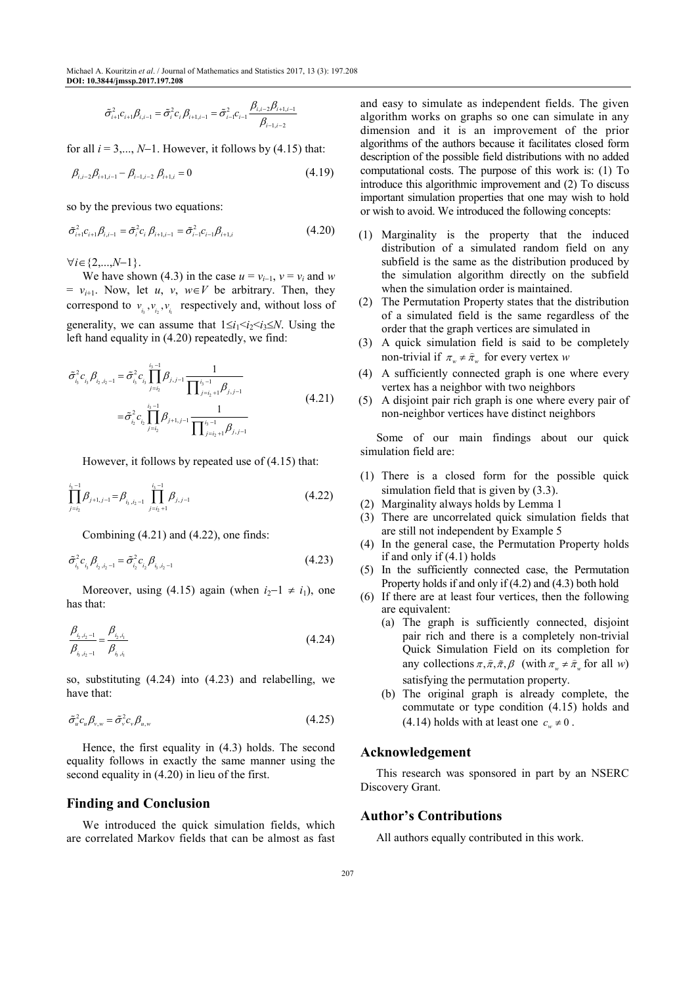$$
\tilde{\sigma}_{i+1}^2 c_{i+1} \beta_{i,i-1} = \tilde{\sigma}_i^2 c_i \beta_{i+1,i-1} = \tilde{\sigma}_{i-1}^2 c_{i-1} \frac{\beta_{i,i-2} \beta_{i+1,i-1}}{\beta_{i-1,i-2}}
$$

for all  $i = 3, \ldots, N-1$ . However, it follows by (4.15) that:

$$
\beta_{i,i-2}\beta_{i+1,i-1} - \beta_{i-1,i-2}\beta_{i+1,i} = 0 \tag{4.19}
$$

so by the previous two equations:

$$
\tilde{\sigma}_{i+1}^2 c_{i+1} \beta_{i,i-1} = \tilde{\sigma}_i^2 c_i \beta_{i+1,i-1} = \tilde{\sigma}_{i-1}^2 c_{i-1} \beta_{i+1,i}
$$
\n(4.20)

∀*i*∈{2,...,*N*−1}.

We have shown (4.3) in the case  $u = v_{i-1}$ ,  $v = v_i$  and w  $= v_{i+1}$ . Now, let *u*, *v*, *w*∈*V* be arbitrary. Then, they correspond to  $v_{i_3}, v_{i_2}, v_{i_1}$  respectively and, without loss of generality, we can assume that  $1 \le i_1 \le i_2 \le i_3 \le N$ . Using the left hand equality in (4.20) repeatedly, we find:

$$
\tilde{\sigma}_{i_{3}}^{2} c_{i_{3}} \beta_{i_{2}, i_{2}-1} = \tilde{\sigma}_{i_{3}}^{2} c_{i_{3}} \prod_{j=i_{2}}^{i_{3}-1} \beta_{j, j-1} \frac{1}{\prod_{j=i_{2}+1}^{i_{3}-1} \beta_{j, j-1}}
$$
\n
$$
= \tilde{\sigma}_{i_{2}}^{2} c_{i_{2}} \prod_{j=i_{2}}^{i_{3}-1} \beta_{j+1, j-1} \frac{1}{\prod_{j=i_{2}+1}^{i_{3}-1} \beta_{j, j-1}}
$$
\n(4.21)

However, it follows by repeated use of (4.15) that:

$$
\prod_{j=i_2}^{i_3-1} \beta_{j+1,j-1} = \beta_{i_3,i_2-1} \prod_{j=i_2+1}^{i_3-1} \beta_{j,j-1}
$$
 (4.22)

Combining (4.21) and (4.22), one finds:

$$
\tilde{\sigma}_{i_3}^2 c_{i_3} \beta_{i_2, i_2 - 1} = \tilde{\sigma}_{i_2}^2 c_{i_2} \beta_{i_3, i_2 - 1}
$$
\n(4.23)

Moreover, using (4.15) again (when  $i_2-1 \neq i_1$ ), one has that:

$$
\frac{\beta_{i_{2},i_{2}-1}}{\beta_{i_{2},i_{2}-1}} = \frac{\beta_{i_{2},i_{1}}}{\beta_{i_{3},i_{1}}} \tag{4.24}
$$

so, substituting (4.24) into (4.23) and relabelling, we have that:

$$
\tilde{\sigma}_u^2 c_u \beta_{v,w} = \tilde{\sigma}_v^2 c_v \beta_{u,w} \tag{4.25}
$$

Hence, the first equality in (4.3) holds. The second equality follows in exactly the same manner using the second equality in (4.20) in lieu of the first.

# **Finding and Conclusion**

We introduced the quick simulation fields, which are correlated Markov fields that can be almost as fast and easy to simulate as independent fields. The given algorithm works on graphs so one can simulate in any dimension and it is an improvement of the prior algorithms of the authors because it facilitates closed form description of the possible field distributions with no added computational costs. The purpose of this work is: (1) To introduce this algorithmic improvement and (2) To discuss important simulation properties that one may wish to hold or wish to avoid. We introduced the following concepts:

- (1) Marginality is the property that the induced distribution of a simulated random field on any subfield is the same as the distribution produced by the simulation algorithm directly on the subfield when the simulation order is maintained.
- (2) The Permutation Property states that the distribution of a simulated field is the same regardless of the order that the graph vertices are simulated in
- (3) A quick simulation field is said to be completely non-trivial if  $\pi_w \neq \hat{\pi}_w$  for every vertex *w*
- (4) A sufficiently connected graph is one where every vertex has a neighbor with two neighbors
- (5) A disjoint pair rich graph is one where every pair of non-neighbor vertices have distinct neighbors

Some of our main findings about our quick simulation field are:

- (1) There is a closed form for the possible quick simulation field that is given by (3.3).
- (2) Marginality always holds by Lemma 1
- (3) There are uncorrelated quick simulation fields that are still not independent by Example 5
- (4) In the general case, the Permutation Property holds if and only if (4.1) holds
- (5) In the sufficiently connected case, the Permutation Property holds if and only if (4.2) and (4.3) both hold
- (6) If there are at least four vertices, then the following are equivalent:
	- (a) The graph is sufficiently connected, disjoint pair rich and there is a completely non-trivial Quick Simulation Field on its completion for any collections  $\pi, \hat{\pi}, \tilde{\pi}, \beta$  (with  $\pi_w \neq \hat{\pi}_w$  for all *w*) satisfying the permutation property.
	- (b) The original graph is already complete, the commutate or type condition (4.15) holds and  $(4.14)$  holds with at least one  $c_w \neq 0$ .

# **Acknowledgement**

This research was sponsored in part by an NSERC Discovery Grant.

# **Author's Contributions**

All authors equally contributed in this work.